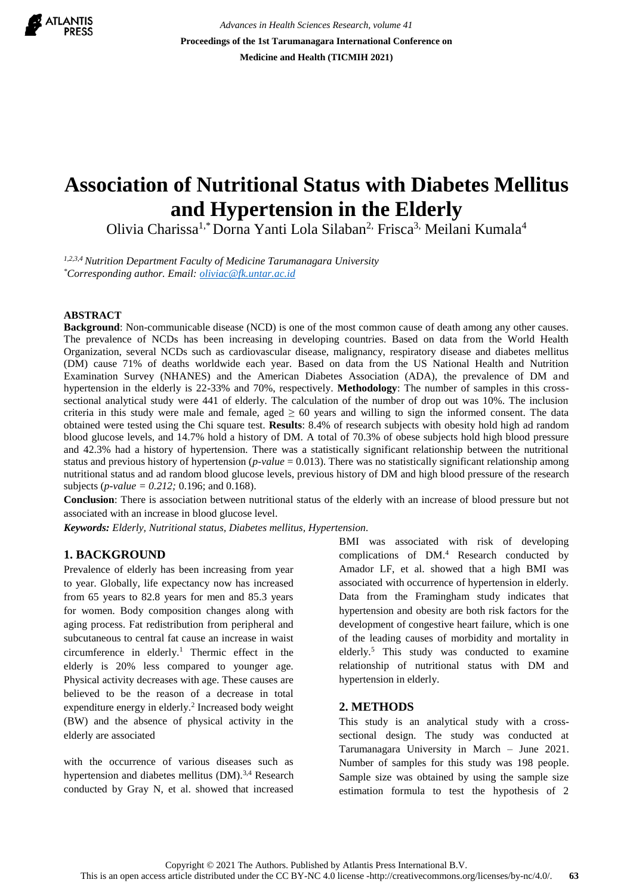

*Advances in Health Sciences Research, volume 41* **Proceedings of the 1st Tarumanagara International Conference on Medicine and Health (TICMIH 2021)**

# **Association of Nutritional Status with Diabetes Mellitus and Hypertension in the Elderly**

Olivia Charissa1,\* Dorna Yanti Lola Silaban2, Frisca3, Meilani Kumala<sup>4</sup>

*1,2,3,4 Nutrition Department Faculty of Medicine Tarumanagara University \*Corresponding author. Email[: oliviac@fk.untar.ac.id](mailto:oliviac@fk.untar.ac.id)*

#### **ABSTRACT**

**Background**: Non-communicable disease (NCD) is one of the most common cause of death among any other causes. The prevalence of NCDs has been increasing in developing countries. Based on data from the World Health Organization, several NCDs such as cardiovascular disease, malignancy, respiratory disease and diabetes mellitus (DM) cause 71% of deaths worldwide each year. Based on data from the US National Health and Nutrition Examination Survey (NHANES) and the American Diabetes Association (ADA), the prevalence of DM and hypertension in the elderly is 22-33% and 70%, respectively. **Methodology**: The number of samples in this crosssectional analytical study were 441 of elderly. The calculation of the number of drop out was 10%. The inclusion criteria in this study were male and female, aged  $\geq 60$  years and willing to sign the informed consent. The data obtained were tested using the Chi square test. **Results**: 8.4% of research subjects with obesity hold high ad random blood glucose levels, and 14.7% hold a history of DM. A total of 70.3% of obese subjects hold high blood pressure and 42.3% had a history of hypertension. There was a statistically significant relationship between the nutritional status and previous history of hypertension (*p-value* = 0.013). There was no statistically significant relationship among nutritional status and ad random blood glucose levels, previous history of DM and high blood pressure of the research subjects (*p-value = 0.212;* 0.196; and 0.168).

**Conclusion**: There is association between nutritional status of the elderly with an increase of blood pressure but not associated with an increase in blood glucose level.

*Keywords: Elderly, Nutritional status, Diabetes mellitus, Hypertension.*

## **1. BACKGROUND**

Prevalence of elderly has been increasing from year to year. Globally, life expectancy now has increased from 65 years to 82.8 years for men and 85.3 years for women. Body composition changes along with aging process. Fat redistribution from peripheral and subcutaneous to central fat cause an increase in waist circumference in elderly.<sup>1</sup> Thermic effect in the elderly is 20% less compared to younger age. Physical activity decreases with age. These causes are believed to be the reason of a decrease in total expenditure energy in elderly.<sup>2</sup> Increased body weight (BW) and the absence of physical activity in the elderly are associated

with the occurrence of various diseases such as hypertension and diabetes mellitus (DM).<sup>3,4</sup> Research conducted by Gray N, et al. showed that increased

BMI was associated with risk of developing complications of DM.<sup>4</sup> Research conducted by Amador LF, et al. showed that a high BMI was associated with occurrence of hypertension in elderly. Data from the Framingham study indicates that hypertension and obesity are both risk factors for the development of congestive heart failure, which is one of the leading causes of morbidity and mortality in elderly.<sup>5</sup> This study was conducted to examine relationship of nutritional status with DM and hypertension in elderly.

#### **2. METHODS**

This study is an analytical study with a crosssectional design. The study was conducted at Tarumanagara University in March – June 2021. Number of samples for this study was 198 people. Sample size was obtained by using the sample size estimation formula to test the hypothesis of 2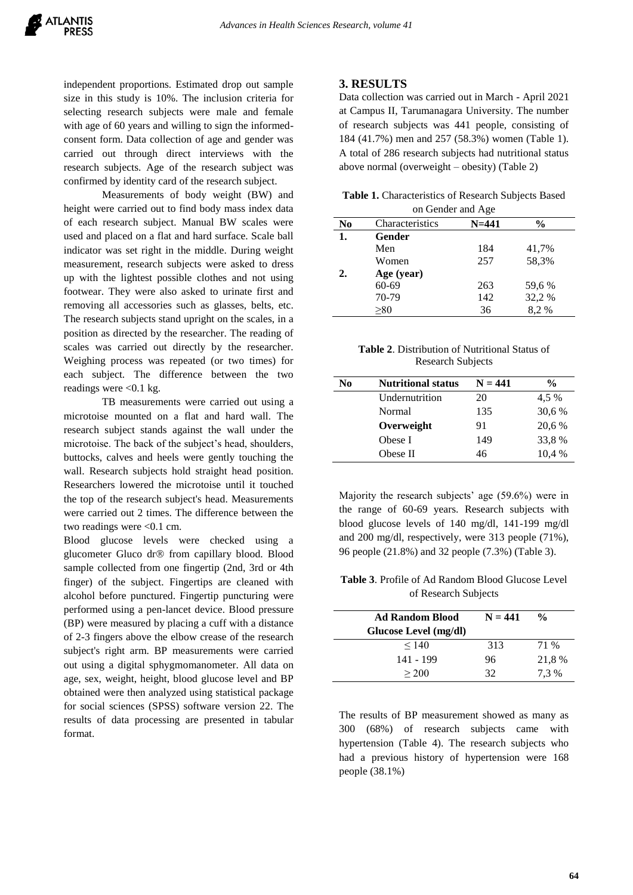independent proportions. Estimated drop out sample size in this study is 10%. The inclusion criteria for selecting research subjects were male and female with age of 60 years and willing to sign the informedconsent form. Data collection of age and gender was carried out through direct interviews with the research subjects. Age of the research subject was confirmed by identity card of the research subject.

Measurements of body weight (BW) and height were carried out to find body mass index data of each research subject. Manual BW scales were used and placed on a flat and hard surface. Scale ball indicator was set right in the middle. During weight measurement, research subjects were asked to dress up with the lightest possible clothes and not using footwear. They were also asked to urinate first and removing all accessories such as glasses, belts, etc. The research subjects stand upright on the scales, in a position as directed by the researcher. The reading of scales was carried out directly by the researcher. Weighing process was repeated (or two times) for each subject. The difference between the two readings were <0.1 kg.

TB measurements were carried out using a microtoise mounted on a flat and hard wall. The research subject stands against the wall under the microtoise. The back of the subject's head, shoulders, buttocks, calves and heels were gently touching the wall. Research subjects hold straight head position. Researchers lowered the microtoise until it touched the top of the research subject's head. Measurements were carried out 2 times. The difference between the two readings were <0.1 cm.

Blood glucose levels were checked using a glucometer Gluco dr® from capillary blood. Blood sample collected from one fingertip (2nd, 3rd or 4th finger) of the subject. Fingertips are cleaned with alcohol before punctured. Fingertip puncturing were performed using a pen-lancet device. Blood pressure (BP) were measured by placing a cuff with a distance of 2-3 fingers above the elbow crease of the research subject's right arm. BP measurements were carried out using a digital sphygmomanometer. All data on age, sex, weight, height, blood glucose level and BP obtained were then analyzed using statistical package for social sciences (SPSS) software version 22. The results of data processing are presented in tabular format.

#### **3. RESULTS**

Data collection was carried out in March - April 2021 at Campus II, Tarumanagara University. The number of research subjects was 441 people, consisting of 184 (41.7%) men and 257 (58.3%) women (Table 1). A total of 286 research subjects had nutritional status above normal (overweight – obesity) (Table 2)

**Table 1.** Characteristics of Research Subjects Based

| on Gender and Age |                 |           |        |  |
|-------------------|-----------------|-----------|--------|--|
| N <sub>0</sub>    | Characteristics | $N = 441$ | $\%$   |  |
| 1.                | Gender          |           |        |  |
|                   | Men             | 184       | 41,7%  |  |
|                   | Women           | 257       | 58,3%  |  |
| 2.                | Age (year)      |           |        |  |
|                   | $60 - 69$       | 263       | 59,6 % |  |
|                   | 70-79           | 142       | 32,2 % |  |
|                   | >80             | 36        | 8.2%   |  |

**Table 2**. Distribution of Nutritional Status of Research Subjects

| N <sub>0</sub> | <b>Nutritional status</b> | $N = 441$ | $\frac{0}{0}$ |
|----------------|---------------------------|-----------|---------------|
|                | Undernutrition            | 20        | 4,5 %         |
|                | Normal                    | 135       | 30.6 %        |
|                | Overweight                | 91        | 20,6 %        |
|                | Obese I                   | 149       | 33,8 %        |
|                | Obese II                  | 46        | 10.4 %        |

Majority the research subjects' age (59.6%) were in the range of 60-69 years. Research subjects with blood glucose levels of 140 mg/dl, 141-199 mg/dl and 200 mg/dl, respectively, were 313 people (71%), 96 people (21.8%) and 32 people (7.3%) (Table 3).

**Table 3**. Profile of Ad Random Blood Glucose Level of Research Subjects

| <b>Ad Random Blood</b><br>Glucose Level (mg/dl) | $N = 441$ | $\frac{0}{0}$ |
|-------------------------------------------------|-----------|---------------|
| < 140                                           | 313       | 71 %          |
| 141 - 199                                       | 96        | 21,8 %        |
| > 200                                           | 32        | 7.3 %         |

The results of BP measurement showed as many as 300 (68%) of research subjects came with hypertension (Table 4). The research subjects who had a previous history of hypertension were 168 people (38.1%)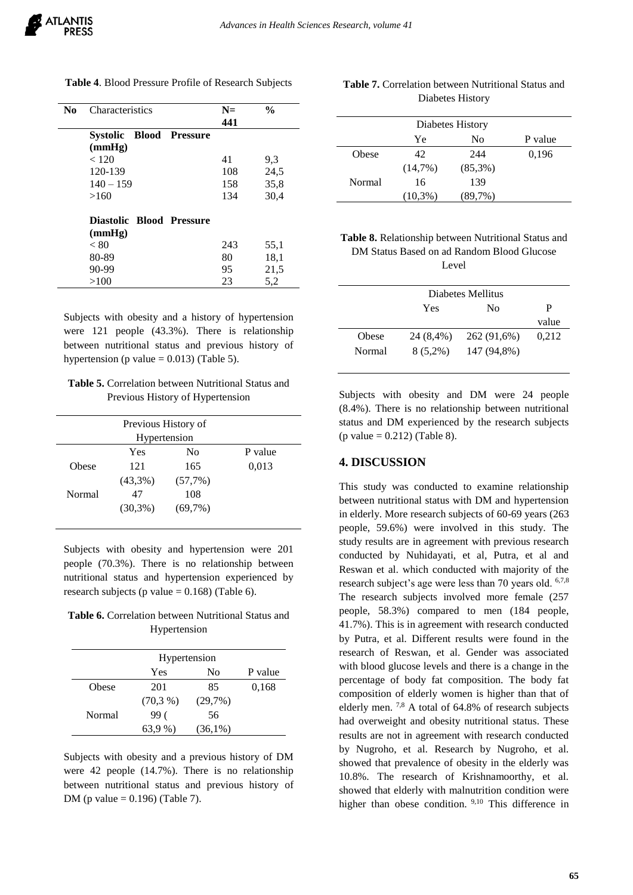| No | Characteristics                | $N=$ | $\frac{0}{0}$ |
|----|--------------------------------|------|---------------|
|    |                                | 441  |               |
|    | <b>Systolic Blood Pressure</b> |      |               |
|    | (mmHg)                         |      |               |
|    | < 120                          | 41   | 9,3           |
|    | 120-139                        | 108  | 24,5          |
|    | $140 - 159$                    | 158  | 35,8          |
|    | >160                           | 134  | 30,4          |
|    | Diastolic Blood Pressure       |      |               |
|    | (mmHg)                         |      |               |
|    | < 80                           | 243  | 55,1          |
|    | 80-89                          | 80   | 18,1          |
|    | 90-99                          | 95   | 21,5          |
|    | >100                           | 23   | 5,2           |

**Table 4**. Blood Pressure Profile of Research Subjects

## Subjects with obesity and a history of hypertension were 121 people (43.3%). There is relationship between nutritional status and previous history of hypertension (p value  $= 0.013$ ) (Table 5).

| <b>Table 5.</b> Correlation between Nutritional Status and |
|------------------------------------------------------------|
| Previous History of Hypertension                           |

| Previous History of |            |                |         |  |
|---------------------|------------|----------------|---------|--|
| Hypertension        |            |                |         |  |
|                     | Yes        | N <sub>0</sub> | P value |  |
| Obese               | 121        | 165            | 0,013   |  |
|                     | $(43,3\%)$ | (57,7%)        |         |  |
| Normal              | 47         | 108            |         |  |
|                     | $(30,3\%)$ | (69,7%)        |         |  |
|                     |            |                |         |  |

Subjects with obesity and hypertension were 201 people (70.3%). There is no relationship between nutritional status and hypertension experienced by research subjects (p value  $= 0.168$ ) (Table 6).

**Table 6.** Correlation between Nutritional Status and Hypertension

|        | Hypertension |            |         |
|--------|--------------|------------|---------|
|        | Yes          | No         | P value |
| Obese  | 201          | 85         | 0,168   |
|        | (70,3%       | (29,7%)    |         |
| Normal | 99(          | 56         |         |
|        | 63.9 %)      | $(36,1\%)$ |         |

Subjects with obesity and a previous history of DM were 42 people (14.7%). There is no relationship between nutritional status and previous history of DM (p value =  $0.196$ ) (Table 7).

| <b>Table 7.</b> Correlation between Nutritional Status and |
|------------------------------------------------------------|
| Diabetes History                                           |

| Diabetes History |            |            |         |  |
|------------------|------------|------------|---------|--|
|                  | Yе         | No         | P value |  |
| Obese            | 42         | 244        | 0,196   |  |
|                  | $(14,7\%)$ | $(85,3\%)$ |         |  |
| Normal           | 16         | 139        |         |  |
|                  | $(10.3\%)$ | $(89.7\%)$ |         |  |

| <b>Table 8.</b> Relationship between Nutritional Status and |
|-------------------------------------------------------------|
| DM Status Based on ad Random Blood Glucose                  |
| Level                                                       |

|        | Diabetes Mellitus |             |       |  |
|--------|-------------------|-------------|-------|--|
|        | P<br>Yes<br>No    |             |       |  |
|        |                   |             | value |  |
| Obese  | 24 (8.4%)         | 262 (91,6%) | 0,212 |  |
| Normal | $8(5,2\%)$        | 147 (94,8%) |       |  |

Subjects with obesity and DM were 24 people (8.4%). There is no relationship between nutritional status and DM experienced by the research subjects  $(p \text{ value} = 0.212)$  (Table 8).

## **4. DISCUSSION**

This study was conducted to examine relationship between nutritional status with DM and hypertension in elderly. More research subjects of 60-69 years (263 people, 59.6%) were involved in this study. The study results are in agreement with previous research conducted by Nuhidayati, et al, Putra, et al and Reswan et al. which conducted with majority of the research subject's age were less than 70 years old. 6,7,8 The research subjects involved more female (257 people, 58.3%) compared to men (184 people, 41.7%). This is in agreement with research conducted by Putra, et al. Different results were found in the research of Reswan, et al. Gender was associated with blood glucose levels and there is a change in the percentage of body fat composition. The body fat composition of elderly women is higher than that of elderly men. 7,8 A total of 64.8% of research subjects had overweight and obesity nutritional status. These results are not in agreement with research conducted by Nugroho, et al. Research by Nugroho, et al. showed that prevalence of obesity in the elderly was 10.8%. The research of Krishnamoorthy, et al. showed that elderly with malnutrition condition were higher than obese condition. <sup>9,10</sup> This difference in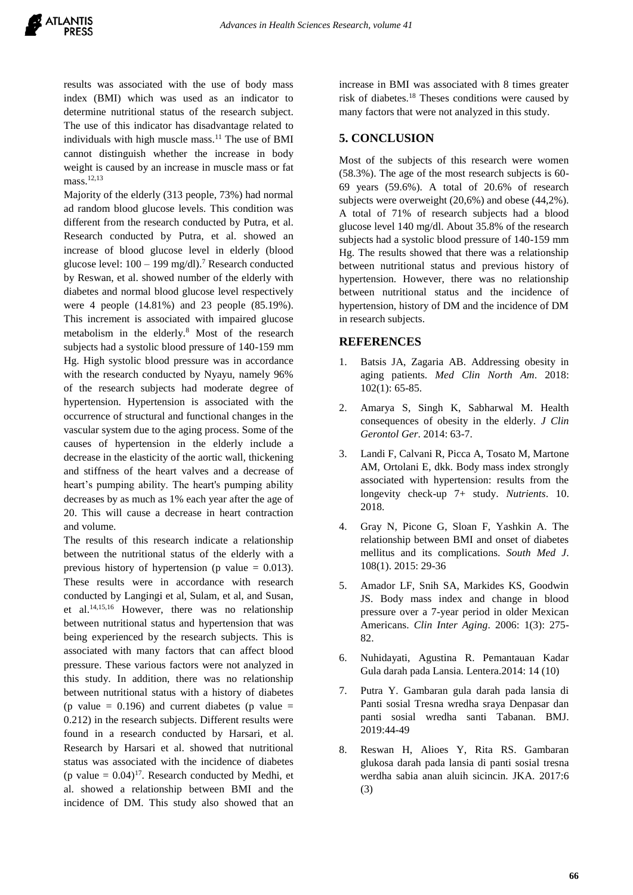results was associated with the use of body mass index (BMI) which was used as an indicator to determine nutritional status of the research subject. The use of this indicator has disadvantage related to individuals with high muscle mass.<sup>11</sup> The use of BMI cannot distinguish whether the increase in body weight is caused by an increase in muscle mass or fat mass.<sup>12,13</sup>

Majority of the elderly (313 people, 73%) had normal ad random blood glucose levels. This condition was different from the research conducted by Putra, et al. Research conducted by Putra, et al. showed an increase of blood glucose level in elderly (blood glucose level:  $100 - 199$  mg/dl).<sup>7</sup> Research conducted by Reswan, et al. showed number of the elderly with diabetes and normal blood glucose level respectively were 4 people (14.81%) and 23 people (85.19%). This increment is associated with impaired glucose metabolism in the elderly.<sup>8</sup> Most of the research subjects had a systolic blood pressure of 140-159 mm Hg. High systolic blood pressure was in accordance with the research conducted by Nyayu, namely 96% of the research subjects had moderate degree of hypertension. Hypertension is associated with the occurrence of structural and functional changes in the vascular system due to the aging process. Some of the causes of hypertension in the elderly include a decrease in the elasticity of the aortic wall, thickening and stiffness of the heart valves and a decrease of heart's pumping ability. The heart's pumping ability decreases by as much as 1% each year after the age of 20. This will cause a decrease in heart contraction and volume.

The results of this research indicate a relationship between the nutritional status of the elderly with a previous history of hypertension (p value  $= 0.013$ ). These results were in accordance with research conducted by Langingi et al, Sulam, et al, and Susan, et al.14,15,16 However, there was no relationship between nutritional status and hypertension that was being experienced by the research subjects. This is associated with many factors that can affect blood pressure. These various factors were not analyzed in this study. In addition, there was no relationship between nutritional status with a history of diabetes (p value  $= 0.196$ ) and current diabetes (p value  $=$ 0.212) in the research subjects. Different results were found in a research conducted by Harsari, et al. Research by Harsari et al. showed that nutritional status was associated with the incidence of diabetes (p value  $= 0.04$ )<sup>17</sup>. Research conducted by Medhi, et al. showed a relationship between BMI and the incidence of DM. This study also showed that an

increase in BMI was associated with 8 times greater risk of diabetes.<sup>18</sup> Theses conditions were caused by many factors that were not analyzed in this study.

## **5. CONCLUSION**

Most of the subjects of this research were women (58.3%). The age of the most research subjects is 60- 69 years (59.6%). A total of 20.6% of research subjects were overweight (20,6%) and obese (44,2%). A total of 71% of research subjects had a blood glucose level 140 mg/dl. About 35.8% of the research subjects had a systolic blood pressure of 140-159 mm Hg. The results showed that there was a relationship between nutritional status and previous history of hypertension. However, there was no relationship between nutritional status and the incidence of hypertension, history of DM and the incidence of DM in research subjects.

#### **REFERENCES**

- 1. Batsis JA, Zagaria AB. Addressing obesity in aging patients. *Med Clin North Am*. 2018: 102(1): 65-85.
- 2. Amarya S, Singh K, Sabharwal M. Health consequences of obesity in the elderly. *J Clin Gerontol Ger*. 2014: 63-7.
- 3. Landi F, Calvani R, Picca A, Tosato M, Martone AM, Ortolani E, dkk. Body mass index strongly associated with hypertension: results from the longevity check-up 7+ study. *Nutrients*. 10. 2018.
- 4. Gray N, Picone G, Sloan F, Yashkin A. The relationship between BMI and onset of diabetes mellitus and its complications. *South Med J*. 108(1). 2015: 29-36
- 5. Amador LF, Snih SA, Markides KS, Goodwin JS. Body mass index and change in blood pressure over a 7-year period in older Mexican Americans. *Clin Inter Aging*. 2006: 1(3): 275- 82.
- 6. Nuhidayati, Agustina R. Pemantauan Kadar Gula darah pada Lansia. Lentera.2014: 14 (10)
- 7. Putra Y. Gambaran gula darah pada lansia di Panti sosial Tresna wredha sraya Denpasar dan panti sosial wredha santi Tabanan. BMJ. 2019:44-49
- 8. Reswan H, Alioes Y, Rita RS. Gambaran glukosa darah pada lansia di panti sosial tresna werdha sabia anan aluih sicincin. JKA. 2017:6 (3)